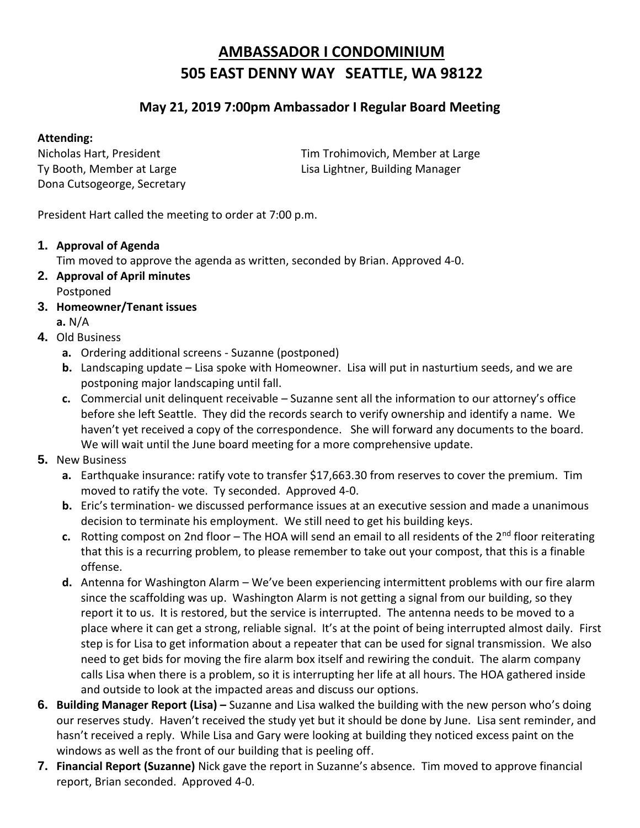## **AMBASSADOR I CONDOMINIUM 505 EAST DENNY WAY SEATTLE, WA 98122**

## **May 21, 2019 7:00pm Ambassador I Regular Board Meeting**

## **Attending:**

Dona Cutsogeorge, Secretary

Nicholas Hart, President Tim Trohimovich, Member at Large Ty Booth, Member at Large Lisa Lightner, Building Manager

President Hart called the meeting to order at 7:00 p.m.

## **1. Approval of Agenda**

Tim moved to approve the agenda as written, seconded by Brian. Approved 4-0.

- **2. Approval of April minutes** Postponed
- **3. Homeowner/Tenant issues** 
	- **a.** N/A
- **4.** Old Business
	- **a.** Ordering additional screens Suzanne (postponed)
	- **b.** Landscaping update Lisa spoke with Homeowner. Lisa will put in nasturtium seeds, and we are postponing major landscaping until fall.
	- **c.** Commercial unit delinquent receivable Suzanne sent all the information to our attorney's office before she left Seattle. They did the records search to verify ownership and identify a name. We haven't yet received a copy of the correspondence. She will forward any documents to the board. We will wait until the June board meeting for a more comprehensive update.
- **5.** New Business
	- **a.** Earthquake insurance: ratify vote to transfer \$17,663.30 from reserves to cover the premium. Tim moved to ratify the vote. Ty seconded. Approved 4-0.
	- **b.** Eric's termination- we discussed performance issues at an executive session and made a unanimous decision to terminate his employment. We still need to get his building keys.
	- **c.** Rotting compost on 2nd floor The HOA will send an email to all residents of the  $2^{nd}$  floor reiterating that this is a recurring problem, to please remember to take out your compost, that this is a finable offense.
	- **d.** Antenna for Washington Alarm We've been experiencing intermittent problems with our fire alarm since the scaffolding was up. Washington Alarm is not getting a signal from our building, so they report it to us. It is restored, but the service is interrupted. The antenna needs to be moved to a place where it can get a strong, reliable signal. It's at the point of being interrupted almost daily. First step is for Lisa to get information about a repeater that can be used for signal transmission. We also need to get bids for moving the fire alarm box itself and rewiring the conduit. The alarm company calls Lisa when there is a problem, so it is interrupting her life at all hours. The HOA gathered inside and outside to look at the impacted areas and discuss our options.
- **6.** Building Manager Report (Lisa) Suzanne and Lisa walked the building with the new person who's doing our reserves study. Haven't received the study yet but it should be done by June. Lisa sent reminder, and hasn't received a reply. While Lisa and Gary were looking at building they noticed excess paint on the windows as well as the front of our building that is peeling off.
- **7. Financial Report (Suzanne)** Nick gave the report in Suzanne's absence. Tim moved to approve financial report, Brian seconded. Approved 4-0.